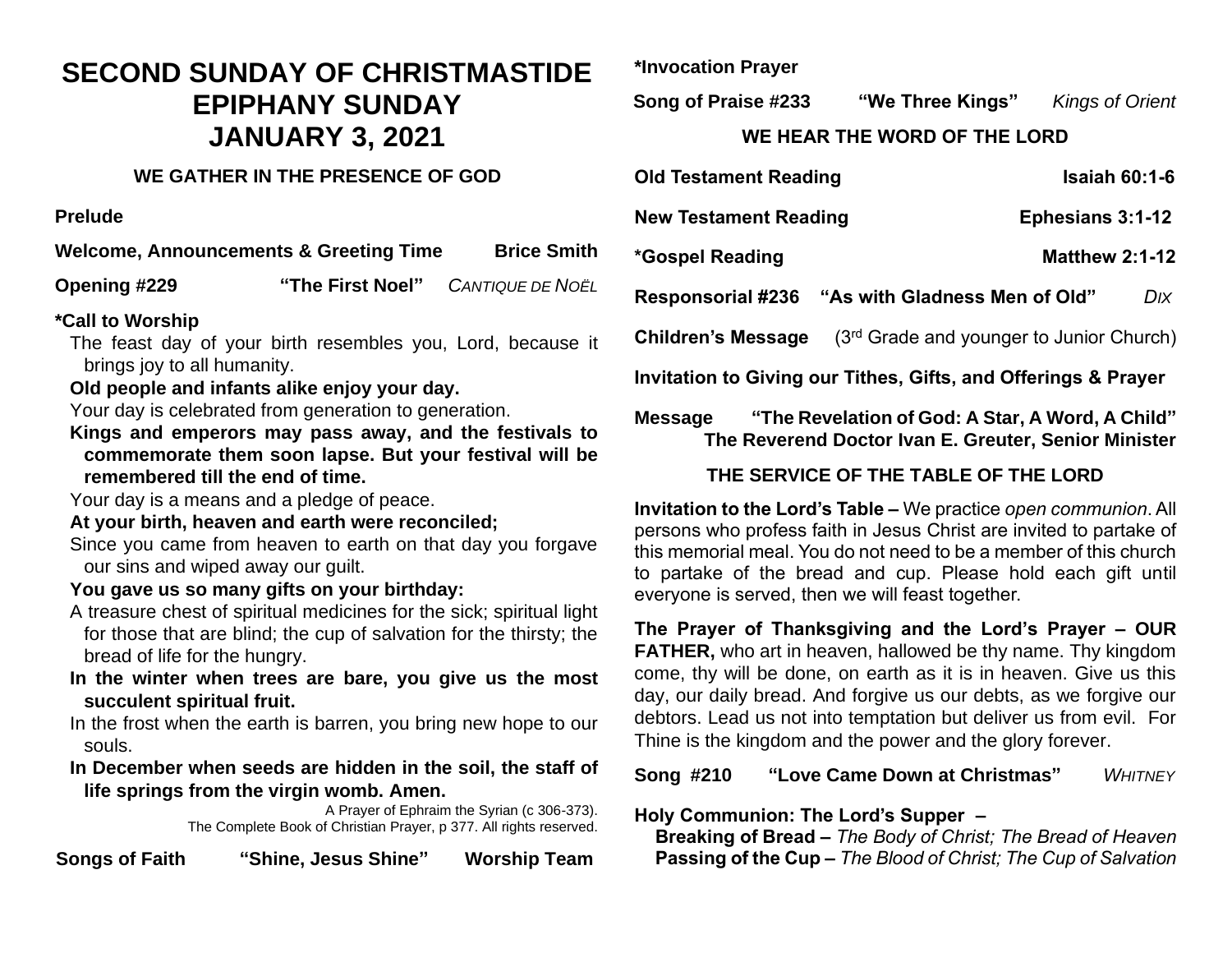# **SECOND SUNDAY OF CHRISTMASTIDE EPIPHANY SUNDAY JANUARY 3, 2021**

#### **WE GATHER IN THE PRESENCE OF GOD**

**Prelude** 

**Welcome, Announcements & Greeting Time Brice Smith** 

**Opening #229 "The First Noel"** *CANTIQUE DE NOËL*

#### **\*Call to Worship**

The feast day of your birth resembles you, Lord, because it brings joy to all humanity.

#### **Old people and infants alike enjoy your day.**

Your day is celebrated from generation to generation.

**Kings and emperors may pass away, and the festivals to commemorate them soon lapse. But your festival will be remembered till the end of time.** 

Your day is a means and a pledge of peace.

#### **At your birth, heaven and earth were reconciled;**

Since you came from heaven to earth on that day you forgave our sins and wiped away our guilt.

#### **You gave us so many gifts on your birthday:**

- A treasure chest of spiritual medicines for the sick; spiritual light for those that are blind; the cup of salvation for the thirsty; the bread of life for the hungry.
- **In the winter when trees are bare, you give us the most succulent spiritual fruit.**

In the frost when the earth is barren, you bring new hope to our souls.

**In December when seeds are hidden in the soil, the staff of life springs from the virgin womb. Amen.**

A Prayer of Ephraim the Syrian (c 306-373). The Complete Book of Christian Prayer, p 377. All rights reserved.

**Songs of Faith "Shine, Jesus Shine" Worship Team**

**\*Invocation Prayer**

**Song of Praise #233 "We Three Kings"** *Kings of Orient* **WE HEAR THE WORD OF THE LORD**

| <b>Old Testament Reading</b>                                       | <b>Isaiah 60:1-6</b>                                   |
|--------------------------------------------------------------------|--------------------------------------------------------|
| <b>New Testament Reading</b>                                       | Ephesians 3:1-12                                       |
| *Gospel Reading                                                    | <b>Matthew 2:1-12</b>                                  |
|                                                                    | Responsorial #236 "As with Gladness Men of Old"<br>Dıx |
| <b>Children's Message</b>                                          | (3 <sup>rd</sup> Grade and younger to Junior Church)   |
| Invitation to Giving our Tithes, Gifts, and Offerings & Prayer     |                                                        |
| "The Revelation of God: A Star, A Word, A Child"<br><b>Message</b> |                                                        |

# **THE SERVICE OF THE TABLE OF THE LORD**

 **The Reverend Doctor Ivan E. Greuter, Senior Minister** 

**Invitation to the Lord's Table –** We practice *open communion*. All persons who profess faith in Jesus Christ are invited to partake of this memorial meal. You do not need to be a member of this church to partake of the bread and cup. Please hold each gift until everyone is served, then we will feast together.

**The Prayer of Thanksgiving and the Lord's Prayer – OUR FATHER,** who art in heaven, hallowed be thy name. Thy kingdom come, thy will be done, on earth as it is in heaven. Give us this day, our daily bread. And forgive us our debts, as we forgive our debtors. Lead us not into temptation but deliver us from evil. For Thine is the kingdom and the power and the glory forever.

#### **Song #210 "Love Came Down at Christmas"** *WHITNEY*

**Holy Communion: The Lord's Supper –**

 **Breaking of Bread –** *The Body of Christ; The Bread of Heaven*  **Passing of the Cup –** *The Blood of Christ; The Cup of Salvation*